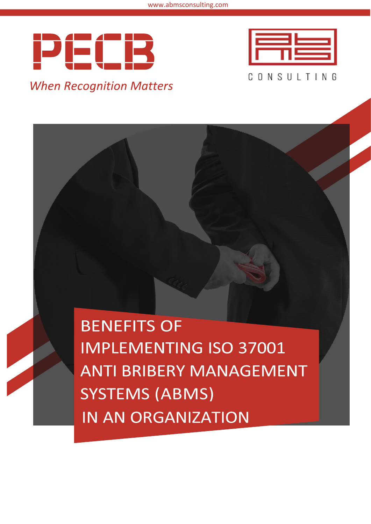



**BENEFITS OF IMPLEMENTING ISO 37001 ANTI BRIBERY MANAGEMENT SYSTEMS (ABMS) IN AN ORGANIZATION**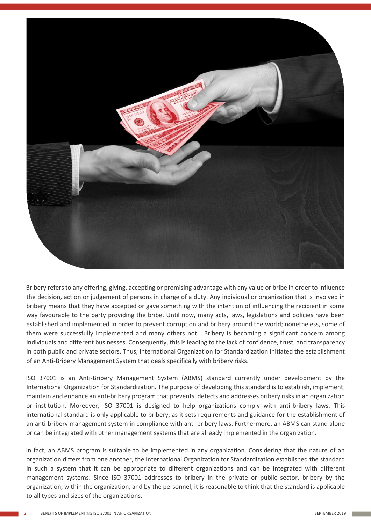

Bribery refers to any offering, giving, accepting or promising advantage with any value or bribe in order to influence the decision, action or judgement of persons in charge of a duty. Any individual or organization that is involved in bribery means that they have accepted or gave something with the intention of influencing the recipient in some way favourable to the party providing the bribe. Until now, many acts, laws, legislations and policies have been established and implemented in order to prevent corruption and bribery around the world; nonetheless, some of them were successfully implemented and many others not. Bribery is becoming a significant concern among individuals and different businesses. Consequently, this is leading to the lack of confidence, trust, and transparency in both public and private sectors. Thus, International Organization for Standardization initiated the establishment of an Anti-Bribery Management System that deals specifically with bribery risks.

ISO 37001 is an Anti-Bribery Management System (ABMS) standard currently under development by the International Organization for Standardization. The purpose of developing this standard is to establish, implement, maintain and enhance an anti-bribery program that prevents, detects and addresses bribery risks in an organization or institution. Moreover, ISO 37001 is designed to help organizations comply with anti-bribery laws. This international standard is only applicable to bribery, as it sets requirements and guidance for the establishment of an anti-bribery management system in compliance with anti-bribery laws. Furthermore, an ABMS can stand alone or can be integrated with other management systems that are already implemented in the organization.

In fact, an ABMS program is suitable to be implemented in any organization. Considering that the nature of an organization differs from one another, the International Organization for Standardization established the standard in such a system that it can be appropriate to different organizations and can be integrated with different management systems. Since ISO 37001 addresses to bribery in the private or public sector, bribery by the organization, within the organization, and by the personnel, it is reasonable to think that the standard is applicable to all types and sizes of the organizations.